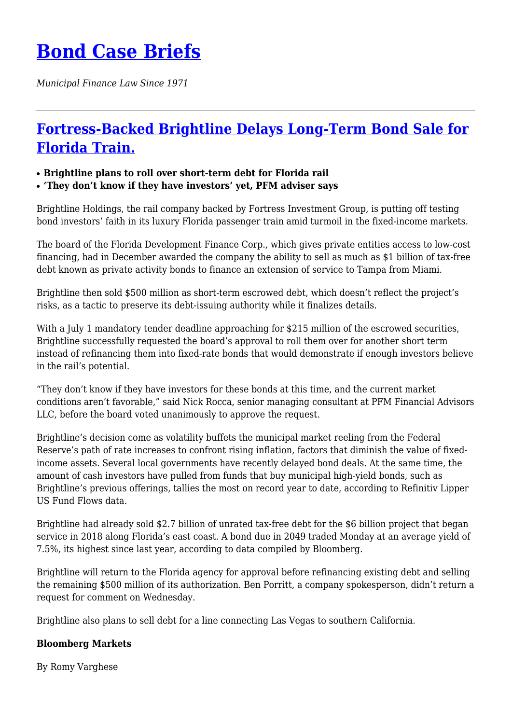## **[Bond Case Briefs](https://bondcasebriefs.com)**

*Municipal Finance Law Since 1971*

## **[Fortress-Backed Brightline Delays Long-Term Bond Sale for](https://bondcasebriefs.com/2022/06/21/news/fortress-backed-brightline-delays-long-term-bond-sale-for-florida-train/) [Florida Train.](https://bondcasebriefs.com/2022/06/21/news/fortress-backed-brightline-delays-long-term-bond-sale-for-florida-train/)**

## ● **Brightline plans to roll over short-term debt for Florida rail**

● **'They don't know if they have investors' yet, PFM adviser says**

Brightline Holdings, the rail company backed by Fortress Investment Group, is putting off testing bond investors' faith in its luxury Florida passenger train amid turmoil in the fixed-income markets.

The board of the Florida Development Finance Corp., which gives private entities access to low-cost financing, had in December awarded the company the ability to sell as much as \$1 billion of tax-free debt known as private activity bonds to finance an extension of service to Tampa from Miami.

Brightline then sold \$500 million as short-term escrowed debt, which doesn't reflect the project's risks, as a tactic to preserve its debt-issuing authority while it finalizes details.

With a July 1 mandatory tender deadline approaching for \$215 million of the escrowed securities, Brightline successfully requested the board's approval to roll them over for another short term instead of refinancing them into fixed-rate bonds that would demonstrate if enough investors believe in the rail's potential.

"They don't know if they have investors for these bonds at this time, and the current market conditions aren't favorable," said Nick Rocca, senior managing consultant at PFM Financial Advisors LLC, before the board voted unanimously to approve the request.

Brightline's decision come as volatility buffets the municipal market reeling from the Federal Reserve's path of rate increases to confront rising inflation, factors that diminish the value of fixedincome assets. Several local governments have recently delayed bond deals. At the same time, the amount of cash investors have pulled from funds that buy municipal high-yield bonds, such as Brightline's previous offerings, tallies the most on record year to date, according to Refinitiv Lipper US Fund Flows data.

Brightline had already sold \$2.7 billion of unrated tax-free debt for the \$6 billion project that began service in 2018 along Florida's east coast. A bond due in 2049 traded Monday at an average yield of 7.5%, its highest since last year, according to data compiled by Bloomberg.

Brightline will return to the Florida agency for approval before refinancing existing debt and selling the remaining \$500 million of its authorization. Ben Porritt, a company spokesperson, didn't return a request for comment on Wednesday.

Brightline also plans to sell debt for a line connecting Las Vegas to southern California.

## **Bloomberg Markets**

By Romy Varghese